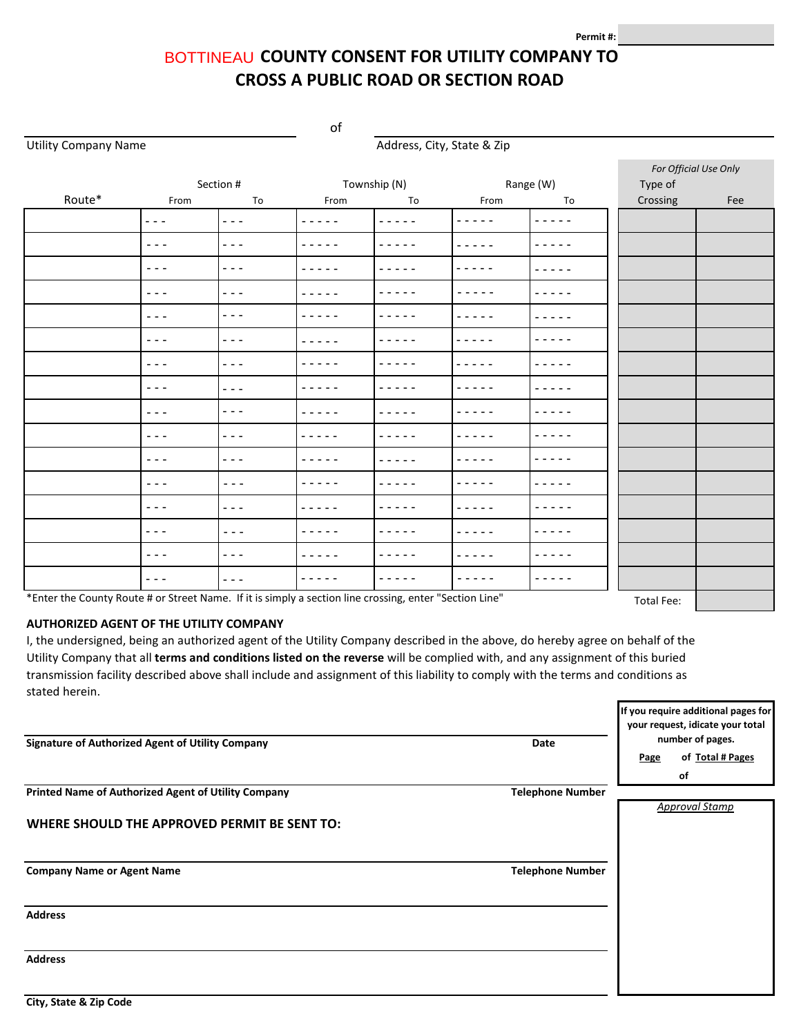## BOTTINEAU COUNTY CONSENT FOR UTILITY COMPANY TO **CROSS A PUBLIC ROAD OR SECTION ROAD**

of

Utility Company Name **Address**, City, State & Zip

|        |                                                                                                                                                                                                                                                                                                                                                                                                                                                |                                                                                 | Township (N)                                                                                                                                                                    |                                                                                                                                                                                 | Range (W)                   |                                                                                                                                                                                 | For Official Use Only |     |
|--------|------------------------------------------------------------------------------------------------------------------------------------------------------------------------------------------------------------------------------------------------------------------------------------------------------------------------------------------------------------------------------------------------------------------------------------------------|---------------------------------------------------------------------------------|---------------------------------------------------------------------------------------------------------------------------------------------------------------------------------|---------------------------------------------------------------------------------------------------------------------------------------------------------------------------------|-----------------------------|---------------------------------------------------------------------------------------------------------------------------------------------------------------------------------|-----------------------|-----|
| Route* | From                                                                                                                                                                                                                                                                                                                                                                                                                                           | Section #<br>To                                                                 | From                                                                                                                                                                            | To                                                                                                                                                                              | From                        | To                                                                                                                                                                              | Type of<br>Crossing   | Fee |
|        | $\frac{1}{2} \left( \frac{1}{2} \right) \frac{1}{2} \left( \frac{1}{2} \right)$                                                                                                                                                                                                                                                                                                                                                                | $  -$                                                                           | -----                                                                                                                                                                           | -----                                                                                                                                                                           | -----                       | $\frac{1}{2} \left( \frac{1}{2} \right) \left( \frac{1}{2} \right) \left( \frac{1}{2} \right) \left( \frac{1}{2} \right) \left( \frac{1}{2} \right) \left( \frac{1}{2} \right)$ |                       |     |
|        | $\sim$ $\sim$ $\sim$                                                                                                                                                                                                                                                                                                                                                                                                                           | $  -$                                                                           | -----                                                                                                                                                                           | -----                                                                                                                                                                           | - -<br>$\sim$ $\sim$ $\sim$ | -----                                                                                                                                                                           |                       |     |
|        | $\frac{1}{2} \left( \frac{1}{2} \right) + \frac{1}{2} \left( \frac{1}{2} \right) + \frac{1}{2} \left( \frac{1}{2} \right) + \frac{1}{2} \left( \frac{1}{2} \right) + \frac{1}{2} \left( \frac{1}{2} \right) + \frac{1}{2} \left( \frac{1}{2} \right) + \frac{1}{2} \left( \frac{1}{2} \right) + \frac{1}{2} \left( \frac{1}{2} \right) + \frac{1}{2} \left( \frac{1}{2} \right) + \frac{1}{2} \left( \frac{1}{2} \right) + \frac{1}{2} \left($ | ---                                                                             | -----                                                                                                                                                                           | -----                                                                                                                                                                           | - - - - -                   | -----                                                                                                                                                                           |                       |     |
|        | $\sim$ $\sim$ $\sim$                                                                                                                                                                                                                                                                                                                                                                                                                           | $  -$                                                                           | -----                                                                                                                                                                           | -----                                                                                                                                                                           | -----                       | - - - - -                                                                                                                                                                       |                       |     |
|        | $\frac{1}{2} \left( \frac{1}{2} \right) \frac{1}{2} \left( \frac{1}{2} \right)$                                                                                                                                                                                                                                                                                                                                                                | $- - -$                                                                         | $\frac{1}{2} \left( \frac{1}{2} \right) \left( \frac{1}{2} \right) \left( \frac{1}{2} \right) \left( \frac{1}{2} \right) \left( \frac{1}{2} \right) \left( \frac{1}{2} \right)$ | $\frac{1}{2} \left( \frac{1}{2} \right) \left( \frac{1}{2} \right) \left( \frac{1}{2} \right) \left( \frac{1}{2} \right) \left( \frac{1}{2} \right) \left( \frac{1}{2} \right)$ | .                           | - - - - -                                                                                                                                                                       |                       |     |
|        | $\frac{1}{2} \left( \frac{1}{2} \right) \frac{1}{2} \left( \frac{1}{2} \right)$                                                                                                                                                                                                                                                                                                                                                                | $  -$                                                                           | -----                                                                                                                                                                           | $\frac{1}{2} \left( \frac{1}{2} \right) \left( \frac{1}{2} \right) \left( \frac{1}{2} \right) \left( \frac{1}{2} \right)$                                                       |                             | -----                                                                                                                                                                           |                       |     |
|        | $\sim$ $\sim$ $\sim$                                                                                                                                                                                                                                                                                                                                                                                                                           | $  -$                                                                           | -----                                                                                                                                                                           | $- - - -$                                                                                                                                                                       | - - - -                     | -----                                                                                                                                                                           |                       |     |
|        | $\frac{1}{2}$                                                                                                                                                                                                                                                                                                                                                                                                                                  | ---                                                                             | -----                                                                                                                                                                           | -----                                                                                                                                                                           | $ -$                        | -----                                                                                                                                                                           |                       |     |
|        | $  -$                                                                                                                                                                                                                                                                                                                                                                                                                                          | $  -$                                                                           |                                                                                                                                                                                 |                                                                                                                                                                                 |                             | $  -$                                                                                                                                                                           |                       |     |
|        | $- - -$                                                                                                                                                                                                                                                                                                                                                                                                                                        | ---                                                                             |                                                                                                                                                                                 |                                                                                                                                                                                 |                             |                                                                                                                                                                                 |                       |     |
|        | $- - -$                                                                                                                                                                                                                                                                                                                                                                                                                                        | ---                                                                             | $ -$                                                                                                                                                                            |                                                                                                                                                                                 |                             |                                                                                                                                                                                 |                       |     |
|        | $\sim$ $\sim$ $\sim$                                                                                                                                                                                                                                                                                                                                                                                                                           | $  -$                                                                           |                                                                                                                                                                                 |                                                                                                                                                                                 |                             | $  -$                                                                                                                                                                           |                       |     |
|        | $\frac{1}{2} \frac{1}{2} \frac{1}{2} \frac{1}{2} \frac{1}{2} \frac{1}{2} \frac{1}{2} \frac{1}{2} \frac{1}{2} \frac{1}{2} \frac{1}{2} \frac{1}{2} \frac{1}{2} \frac{1}{2} \frac{1}{2} \frac{1}{2} \frac{1}{2} \frac{1}{2} \frac{1}{2} \frac{1}{2} \frac{1}{2} \frac{1}{2} \frac{1}{2} \frac{1}{2} \frac{1}{2} \frac{1}{2} \frac{1}{2} \frac{1}{2} \frac{1}{2} \frac{1}{2} \frac{1}{2} \frac{$                                                   | $  -$                                                                           | -----                                                                                                                                                                           |                                                                                                                                                                                 | - -                         | -----                                                                                                                                                                           |                       |     |
|        | $\frac{1}{2} \frac{1}{2} \frac{1}{2} \frac{1}{2} \frac{1}{2} \frac{1}{2} \frac{1}{2} \frac{1}{2} \frac{1}{2} \frac{1}{2} \frac{1}{2} \frac{1}{2} \frac{1}{2} \frac{1}{2} \frac{1}{2} \frac{1}{2} \frac{1}{2} \frac{1}{2} \frac{1}{2} \frac{1}{2} \frac{1}{2} \frac{1}{2} \frac{1}{2} \frac{1}{2} \frac{1}{2} \frac{1}{2} \frac{1}{2} \frac{1}{2} \frac{1}{2} \frac{1}{2} \frac{1}{2} \frac{$                                                   | $\frac{1}{2}$                                                                   | -----                                                                                                                                                                           | $\sim$                                                                                                                                                                          |                             |                                                                                                                                                                                 |                       |     |
|        | $\sim$ $\sim$ $\sim$                                                                                                                                                                                                                                                                                                                                                                                                                           | $- - -$                                                                         | -----                                                                                                                                                                           | $\frac{1}{2}$                                                                                                                                                                   |                             | -----                                                                                                                                                                           |                       |     |
|        | $\frac{1}{2} \left( \frac{1}{2} \right) \frac{1}{2} \left( \frac{1}{2} \right)$                                                                                                                                                                                                                                                                                                                                                                | $\frac{1}{2} \left( \frac{1}{2} \right) \frac{1}{2} \left( \frac{1}{2} \right)$ | $\cdots$                                                                                                                                                                        | $\begin{array}{cccccccccccccc} \bullet & \bullet & \bullet & \bullet & \bullet & \bullet & \bullet \end{array}$                                                                 | -----                       | -----                                                                                                                                                                           |                       |     |

\*Enter the County Route # or Street Name. If it is simply a section line crossing, enter "Section Line" Total Fee:

## **AUTHORIZED AGENT OF THE UTILITY COMPANY**

I, the undersigned, being an authorized agent of the Utility Company described in the above, do hereby agree on behalf of the Utility Company that all **terms and conditions listed on the reverse** will be complied with, and any assignment of this buried transmission facility described above shall include and assignment of this liability to comply with the terms and conditions as stated herein.

|                                                     |                         |                  | If you require additional pages for<br>your request, idicate your total |
|-----------------------------------------------------|-------------------------|------------------|-------------------------------------------------------------------------|
| Signature of Authorized Agent of Utility Company    | Date                    | number of pages. |                                                                         |
|                                                     |                         | Page             | of Total # Pages                                                        |
|                                                     |                         |                  | of                                                                      |
| Printed Name of Authorized Agent of Utility Company | <b>Telephone Number</b> |                  |                                                                         |
|                                                     |                         |                  | <b>Approval Stamp</b>                                                   |
| WHERE SHOULD THE APPROVED PERMIT BE SENT TO:        |                         |                  |                                                                         |
|                                                     |                         |                  |                                                                         |
| <b>Company Name or Agent Name</b>                   | <b>Telephone Number</b> |                  |                                                                         |
| <b>Address</b>                                      |                         |                  |                                                                         |
| <b>Address</b>                                      |                         |                  |                                                                         |
|                                                     |                         |                  |                                                                         |
| City, State & Zip Code                              |                         |                  |                                                                         |